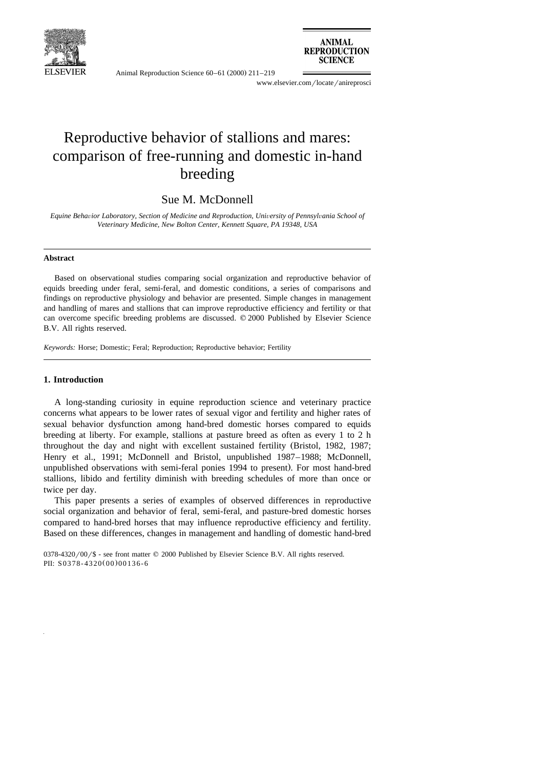

Animal Reproduction Science  $60-61$   $(2000)$   $211-219$ 



www.elsevier.com/locate/anireprosci

# Reproductive behavior of stallions and mares: comparison of free-running and domestic in-hand breeding

Sue M. McDonnell

*Equine Beha*Õ*ior Laboratory, Section of Medicine and Reproduction, Uni*Õ*ersity of Pennsyl*Õ*ania School of Veterinary Medicine, New Bolton Center, Kennett Square, PA 19348, USA*

#### **Abstract**

Based on observational studies comparing social organization and reproductive behavior of equids breeding under feral, semi-feral, and domestic conditions, a series of comparisons and findings on reproductive physiology and behavior are presented. Simple changes in management and handling of mares and stallions that can improve reproductive efficiency and fertility or that can overcome specific breeding problems are discussed.  $© 2000$  Published by Elsevier Science B.V. All rights reserved.

*Keywords:* Horse; Domestic; Feral; Reproduction; Reproductive behavior; Fertility

#### **1. Introduction**

A long-standing curiosity in equine reproduction science and veterinary practice concerns what appears to be lower rates of sexual vigor and fertility and higher rates of sexual behavior dysfunction among hand-bred domestic horses compared to equids breeding at liberty. For example, stallions at pasture breed as often as every 1 to 2 h throughout the day and night with excellent sustained fertility (Bristol, 1982, 1987; Henry et al., 1991; McDonnell and Bristol, unpublished 1987–1988; McDonnell, unpublished observations with semi-feral ponies 1994 to present). For most hand-bred stallions, libido and fertility diminish with breeding schedules of more than once or twice per day.

This paper presents a series of examples of observed differences in reproductive social organization and behavior of feral, semi-feral, and pasture-bred domestic horses compared to hand-bred horses that may influence reproductive efficiency and fertility. Based on these differences, changes in management and handling of domestic hand-bred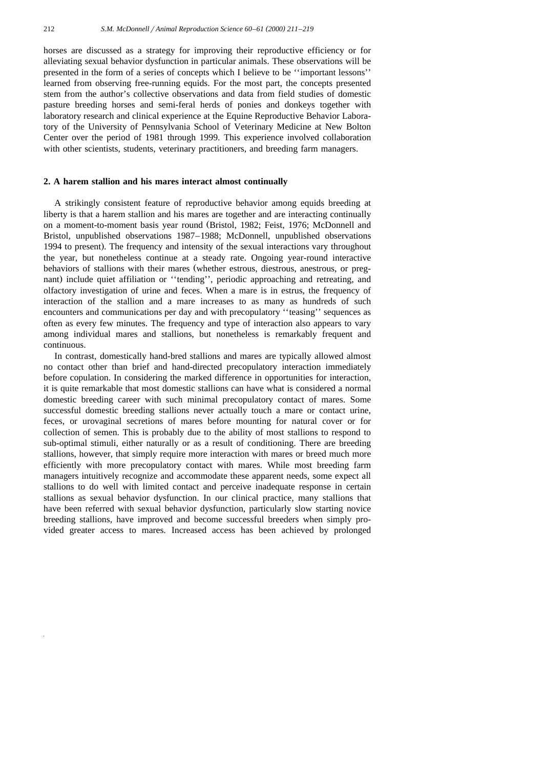horses are discussed as a strategy for improving their reproductive efficiency or for alleviating sexual behavior dysfunction in particular animals. These observations will be presented in the form of a series of concepts which I believe to be ''important lessons'' learned from observing free-running equids. For the most part, the concepts presented stem from the author's collective observations and data from field studies of domestic pasture breeding horses and semi-feral herds of ponies and donkeys together with laboratory research and clinical experience at the Equine Reproductive Behavior Laboratory of the University of Pennsylvania School of Veterinary Medicine at New Bolton Center over the period of 1981 through 1999. This experience involved collaboration with other scientists, students, veterinary practitioners, and breeding farm managers.

#### **2. A harem stallion and his mares interact almost continually**

A strikingly consistent feature of reproductive behavior among equids breeding at liberty is that a harem stallion and his mares are together and are interacting continually on a moment-to-moment basis year round Bristol, 1982; Feist, 1976; McDonnell and Ž Bristol, unpublished observations 1987–1988; McDonnell, unpublished observations 1994 to present). The frequency and intensity of the sexual interactions vary throughout the year, but nonetheless continue at a steady rate. Ongoing year-round interactive behaviors of stallions with their mares (whether estrous, diestrous, anestrous, or pregnant) include quiet affiliation or "tending", periodic approaching and retreating, and olfactory investigation of urine and feces. When a mare is in estrus, the frequency of interaction of the stallion and a mare increases to as many as hundreds of such encounters and communications per day and with precopulatory ''teasing'' sequences as often as every few minutes. The frequency and type of interaction also appears to vary among individual mares and stallions, but nonetheless is remarkably frequent and continuous.

In contrast, domestically hand-bred stallions and mares are typically allowed almost no contact other than brief and hand-directed precopulatory interaction immediately before copulation. In considering the marked difference in opportunities for interaction, it is quite remarkable that most domestic stallions can have what is considered a normal domestic breeding career with such minimal precopulatory contact of mares. Some successful domestic breeding stallions never actually touch a mare or contact urine, feces, or urovaginal secretions of mares before mounting for natural cover or for collection of semen. This is probably due to the ability of most stallions to respond to sub-optimal stimuli, either naturally or as a result of conditioning. There are breeding stallions, however, that simply require more interaction with mares or breed much more efficiently with more precopulatory contact with mares. While most breeding farm managers intuitively recognize and accommodate these apparent needs, some expect all stallions to do well with limited contact and perceive inadequate response in certain stallions as sexual behavior dysfunction. In our clinical practice, many stallions that have been referred with sexual behavior dysfunction, particularly slow starting novice breeding stallions, have improved and become successful breeders when simply provided greater access to mares. Increased access has been achieved by prolonged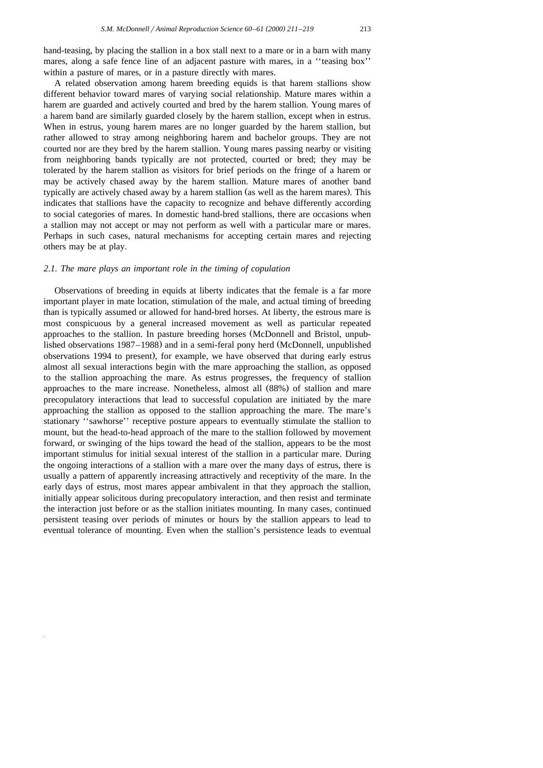hand-teasing, by placing the stallion in a box stall next to a mare or in a barn with many mares, along a safe fence line of an adjacent pasture with mares, in a ''teasing box'' within a pasture of mares, or in a pasture directly with mares.

A related observation among harem breeding equids is that harem stallions show different behavior toward mares of varying social relationship. Mature mares within a harem are guarded and actively courted and bred by the harem stallion. Young mares of a harem band are similarly guarded closely by the harem stallion, except when in estrus. When in estrus, young harem mares are no longer guarded by the harem stallion, but rather allowed to stray among neighboring harem and bachelor groups. They are not courted nor are they bred by the harem stallion. Young mares passing nearby or visiting from neighboring bands typically are not protected, courted or bred; they may be tolerated by the harem stallion as visitors for brief periods on the fringe of a harem or may be actively chased away by the harem stallion. Mature mares of another band typically are actively chased away by a harem stallion (as well as the harem mares). This indicates that stallions have the capacity to recognize and behave differently according to social categories of mares. In domestic hand-bred stallions, there are occasions when a stallion may not accept or may not perform as well with a particular mare or mares. Perhaps in such cases, natural mechanisms for accepting certain mares and rejecting others may be at play.

# *2.1. The mare plays an important role in the timing of copulation*

Observations of breeding in equids at liberty indicates that the female is a far more important player in mate location, stimulation of the male, and actual timing of breeding than is typically assumed or allowed for hand-bred horses. At liberty, the estrous mare is most conspicuous by a general increased movement as well as particular repeated approaches to the stallion. In pasture breeding horses (McDonnell and Bristol, unpublished observations 1987–1988) and in a semi-feral pony herd (McDonnell, unpublished observations 1994 to present), for example, we have observed that during early estrus almost all sexual interactions begin with the mare approaching the stallion, as opposed to the stallion approaching the mare. As estrus progresses, the frequency of stallion approaches to the mare increase. Nonetheless, almost all  $(88%)$  of stallion and mare precopulatory interactions that lead to successful copulation are initiated by the mare approaching the stallion as opposed to the stallion approaching the mare. The mare's stationary ''sawhorse'' receptive posture appears to eventually stimulate the stallion to mount, but the head-to-head approach of the mare to the stallion followed by movement forward, or swinging of the hips toward the head of the stallion, appears to be the most important stimulus for initial sexual interest of the stallion in a particular mare. During the ongoing interactions of a stallion with a mare over the many days of estrus, there is usually a pattern of apparently increasing attractively and receptivity of the mare. In the early days of estrus, most mares appear ambivalent in that they approach the stallion, initially appear solicitous during precopulatory interaction, and then resist and terminate the interaction just before or as the stallion initiates mounting. In many cases, continued persistent teasing over periods of minutes or hours by the stallion appears to lead to eventual tolerance of mounting. Even when the stallion's persistence leads to eventual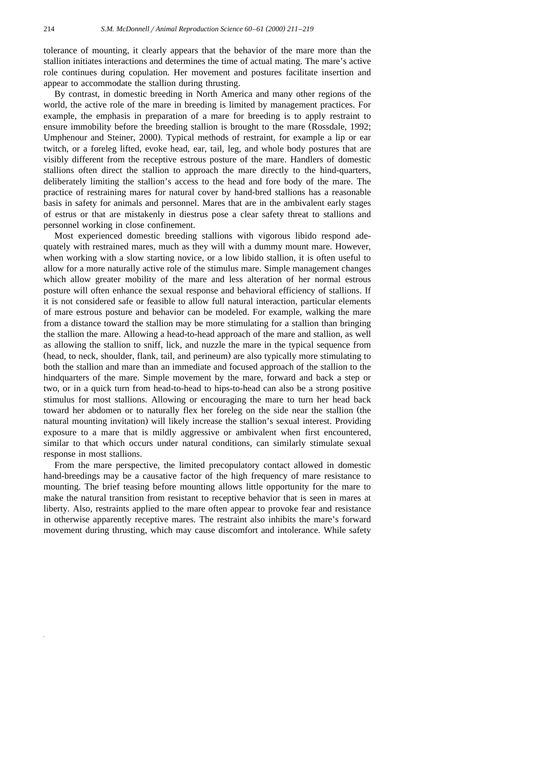tolerance of mounting, it clearly appears that the behavior of the mare more than the stallion initiates interactions and determines the time of actual mating. The mare's active role continues during copulation. Her movement and postures facilitate insertion and appear to accommodate the stallion during thrusting.

By contrast, in domestic breeding in North America and many other regions of the world, the active role of the mare in breeding is limited by management practices. For example, the emphasis in preparation of a mare for breeding is to apply restraint to ensure immobility before the breeding stallion is brought to the mare (Rossdale, 1992; Umphenour and Steiner, 2000). Typical methods of restraint, for example a lip or ear twitch, or a foreleg lifted, evoke head, ear, tail, leg, and whole body postures that are visibly different from the receptive estrous posture of the mare. Handlers of domestic stallions often direct the stallion to approach the mare directly to the hind-quarters, deliberately limiting the stallion's access to the head and fore body of the mare. The practice of restraining mares for natural cover by hand-bred stallions has a reasonable basis in safety for animals and personnel. Mares that are in the ambivalent early stages of estrus or that are mistakenly in diestrus pose a clear safety threat to stallions and personnel working in close confinement.

Most experienced domestic breeding stallions with vigorous libido respond adequately with restrained mares, much as they will with a dummy mount mare. However, when working with a slow starting novice, or a low libido stallion, it is often useful to allow for a more naturally active role of the stimulus mare. Simple management changes which allow greater mobility of the mare and less alteration of her normal estrous posture will often enhance the sexual response and behavioral efficiency of stallions. If it is not considered safe or feasible to allow full natural interaction, particular elements of mare estrous posture and behavior can be modeled. For example, walking the mare from a distance toward the stallion may be more stimulating for a stallion than bringing the stallion the mare. Allowing a head-to-head approach of the mare and stallion, as well as allowing the stallion to sniff, lick, and nuzzle the mare in the typical sequence from (head, to neck, shoulder, flank, tail, and perineum) are also typically more stimulating to both the stallion and mare than an immediate and focused approach of the stallion to the hindquarters of the mare. Simple movement by the mare, forward and back a step or two, or in a quick turn from head-to-head to hips-to-head can also be a strong positive stimulus for most stallions. Allowing or encouraging the mare to turn her head back toward her abdomen or to naturally flex her foreleg on the side near the stallion (the natural mounting invitation) will likely increase the stallion's sexual interest. Providing exposure to a mare that is mildly aggressive or ambivalent when first encountered, similar to that which occurs under natural conditions, can similarly stimulate sexual response in most stallions.

From the mare perspective, the limited precopulatory contact allowed in domestic hand-breedings may be a causative factor of the high frequency of mare resistance to mounting. The brief teasing before mounting allows little opportunity for the mare to make the natural transition from resistant to receptive behavior that is seen in mares at liberty. Also, restraints applied to the mare often appear to provoke fear and resistance in otherwise apparently receptive mares. The restraint also inhibits the mare's forward movement during thrusting, which may cause discomfort and intolerance. While safety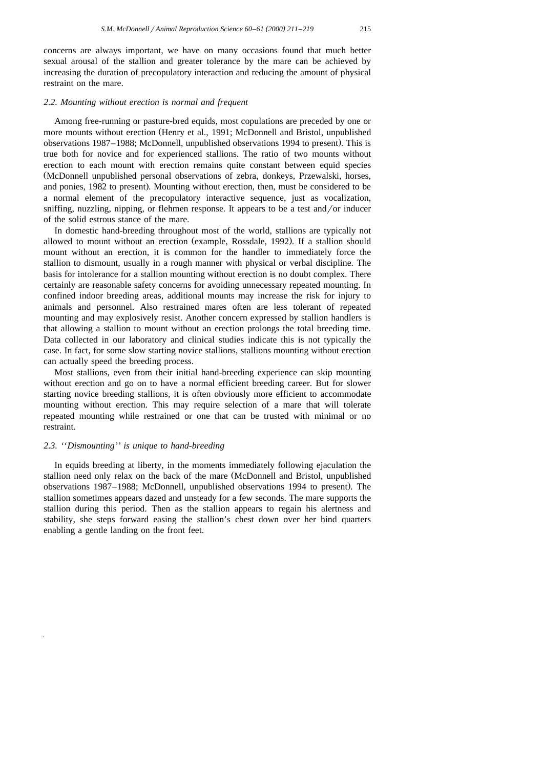concerns are always important, we have on many occasions found that much better sexual arousal of the stallion and greater tolerance by the mare can be achieved by increasing the duration of precopulatory interaction and reducing the amount of physical restraint on the mare.

#### *2.2. Mounting without erection is normal and frequent*

Among free-running or pasture-bred equids, most copulations are preceded by one or more mounts without erection (Henry et al., 1991; McDonnell and Bristol, unpublished observations 1987–1988; McDonnell, unpublished observations 1994 to present). This is true both for novice and for experienced stallions. The ratio of two mounts without erection to each mount with erection remains quite constant between equid species (McDonnell unpublished personal observations of zebra, donkeys, Przewalski, horses, and ponies, 1982 to present). Mounting without erection, then, must be considered to be a normal element of the precopulatory interactive sequence, just as vocalization, sniffing, nuzzling, nipping, or flehmen response. It appears to be a test and/or inducer of the solid estrous stance of the mare.

In domestic hand-breeding throughout most of the world, stallions are typically not allowed to mount without an erection (example, Rossdale, 1992). If a stallion should mount without an erection, it is common for the handler to immediately force the stallion to dismount, usually in a rough manner with physical or verbal discipline. The basis for intolerance for a stallion mounting without erection is no doubt complex. There certainly are reasonable safety concerns for avoiding unnecessary repeated mounting. In confined indoor breeding areas, additional mounts may increase the risk for injury to animals and personnel. Also restrained mares often are less tolerant of repeated mounting and may explosively resist. Another concern expressed by stallion handlers is that allowing a stallion to mount without an erection prolongs the total breeding time. Data collected in our laboratory and clinical studies indicate this is not typically the case. In fact, for some slow starting novice stallions, stallions mounting without erection can actually speed the breeding process.

Most stallions, even from their initial hand-breeding experience can skip mounting without erection and go on to have a normal efficient breeding career. But for slower starting novice breeding stallions, it is often obviously more efficient to accommodate mounting without erection. This may require selection of a mare that will tolerate repeated mounting while restrained or one that can be trusted with minimal or no restraint.

#### *2.3. ''Dismounting'' is unique to hand-breeding*

In equids breeding at liberty, in the moments immediately following ejaculation the stallion need only relax on the back of the mare (McDonnell and Bristol, unpublished observations 1987–1988; McDonnell, unpublished observations 1994 to present). The stallion sometimes appears dazed and unsteady for a few seconds. The mare supports the stallion during this period. Then as the stallion appears to regain his alertness and stability, she steps forward easing the stallion's chest down over her hind quarters enabling a gentle landing on the front feet.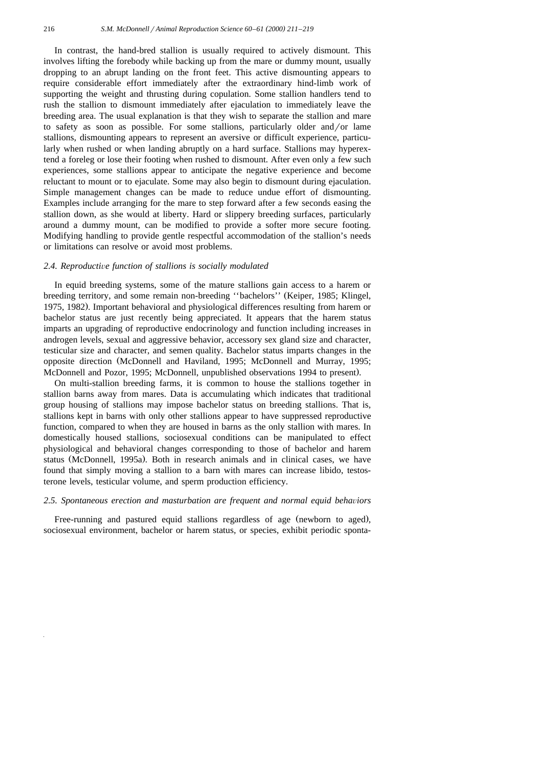In contrast, the hand-bred stallion is usually required to actively dismount. This involves lifting the forebody while backing up from the mare or dummy mount, usually dropping to an abrupt landing on the front feet. This active dismounting appears to require considerable effort immediately after the extraordinary hind-limb work of supporting the weight and thrusting during copulation. Some stallion handlers tend to rush the stallion to dismount immediately after ejaculation to immediately leave the breeding area. The usual explanation is that they wish to separate the stallion and mare to safety as soon as possible. For some stallions, particularly older and  $\sigma$  lame stallions, dismounting appears to represent an aversive or difficult experience, particularly when rushed or when landing abruptly on a hard surface. Stallions may hyperextend a foreleg or lose their footing when rushed to dismount. After even only a few such experiences, some stallions appear to anticipate the negative experience and become reluctant to mount or to ejaculate. Some may also begin to dismount during ejaculation. Simple management changes can be made to reduce undue effort of dismounting. Examples include arranging for the mare to step forward after a few seconds easing the stallion down, as she would at liberty. Hard or slippery breeding surfaces, particularly around a dummy mount, can be modified to provide a softer more secure footing. Modifying handling to provide gentle respectful accommodation of the stallion's needs or limitations can resolve or avoid most problems.

### 2.4. Reproductive function of stallions is socially modulated

In equid breeding systems, some of the mature stallions gain access to a harem or breeding territory, and some remain non-breeding "bachelors" (Keiper, 1985; Klingel, 1975, 1982 . Important behavioral and physiological differences resulting from harem or . bachelor status are just recently being appreciated. It appears that the harem status imparts an upgrading of reproductive endocrinology and function including increases in androgen levels, sexual and aggressive behavior, accessory sex gland size and character, testicular size and character, and semen quality. Bachelor status imparts changes in the opposite direction McDonnell and Haviland, 1995; McDonnell and Murray, 1995; Ž McDonnell and Pozor, 1995; McDonnell, unpublished observations 1994 to present).

On multi-stallion breeding farms, it is common to house the stallions together in stallion barns away from mares. Data is accumulating which indicates that traditional group housing of stallions may impose bachelor status on breeding stallions. That is, stallions kept in barns with only other stallions appear to have suppressed reproductive function, compared to when they are housed in barns as the only stallion with mares. In domestically housed stallions, sociosexual conditions can be manipulated to effect physiological and behavioral changes corresponding to those of bachelor and harem status (McDonnell, 1995a). Both in research animals and in clinical cases, we have found that simply moving a stallion to a barn with mares can increase libido, testosterone levels, testicular volume, and sperm production efficiency.

## 2.5. Spontaneous erection and masturbation are frequent and normal equid behaviors

Free-running and pastured equid stallions regardless of age (newborn to aged), sociosexual environment, bachelor or harem status, or species, exhibit periodic sponta-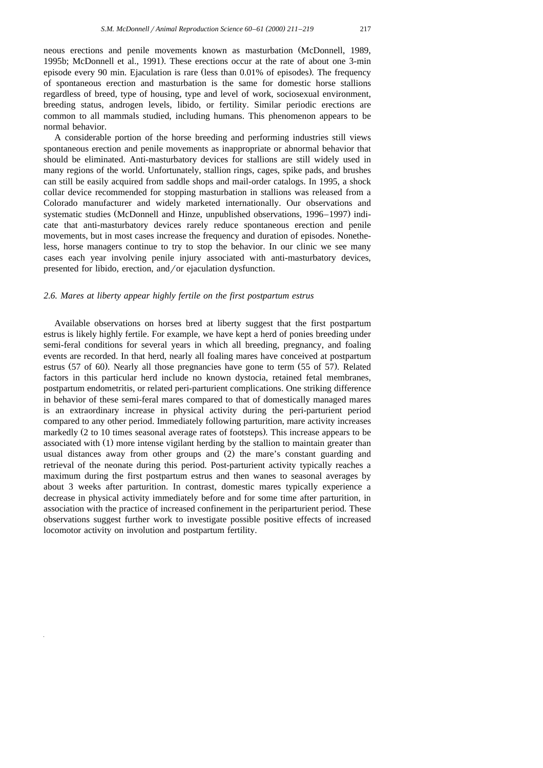neous erections and penile movements known as masturbation (McDonnell, 1989, 1995b; McDonnell et al., 1991). These erections occur at the rate of about one 3-min episode every 90 min. Ejaculation is rare (less than  $0.01\%$  of episodes). The frequency of spontaneous erection and masturbation is the same for domestic horse stallions regardless of breed, type of housing, type and level of work, sociosexual environment, breeding status, androgen levels, libido, or fertility. Similar periodic erections are common to all mammals studied, including humans. This phenomenon appears to be normal behavior.

A considerable portion of the horse breeding and performing industries still views spontaneous erection and penile movements as inappropriate or abnormal behavior that should be eliminated. Anti-masturbatory devices for stallions are still widely used in many regions of the world. Unfortunately, stallion rings, cages, spike pads, and brushes can still be easily acquired from saddle shops and mail-order catalogs. In 1995, a shock collar device recommended for stopping masturbation in stallions was released from a Colorado manufacturer and widely marketed internationally. Our observations and systematic studies (McDonnell and Hinze, unpublished observations, 1996–1997) indicate that anti-masturbatory devices rarely reduce spontaneous erection and penile movements, but in most cases increase the frequency and duration of episodes. Nonetheless, horse managers continue to try to stop the behavior. In our clinic we see many cases each year involving penile injury associated with anti-masturbatory devices, presented for libido, erection, and/or ejaculation dysfunction.

# *2.6. Mares at liberty appear highly fertile on the first postpartum estrus*

Available observations on horses bred at liberty suggest that the first postpartum estrus is likely highly fertile. For example, we have kept a herd of ponies breeding under semi-feral conditions for several years in which all breeding, pregnancy, and foaling events are recorded. In that herd, nearly all foaling mares have conceived at postpartum estrus  $(57 \text{ of } 60)$ . Nearly all those pregnancies have gone to term  $(55 \text{ of } 57)$ . Related factors in this particular herd include no known dystocia, retained fetal membranes, postpartum endometritis, or related peri-parturient complications. One striking difference in behavior of these semi-feral mares compared to that of domestically managed mares is an extraordinary increase in physical activity during the peri-parturient period compared to any other period. Immediately following parturition, mare activity increases markedly (2 to 10 times seasonal average rates of footsteps). This increase appears to be associated with (1) more intense vigilant herding by the stallion to maintain greater than usual distances away from other groups and  $(2)$  the mare's constant guarding and retrieval of the neonate during this period. Post-parturient activity typically reaches a maximum during the first postpartum estrus and then wanes to seasonal averages by about 3 weeks after parturition. In contrast, domestic mares typically experience a decrease in physical activity immediately before and for some time after parturition, in association with the practice of increased confinement in the periparturient period. These observations suggest further work to investigate possible positive effects of increased locomotor activity on involution and postpartum fertility.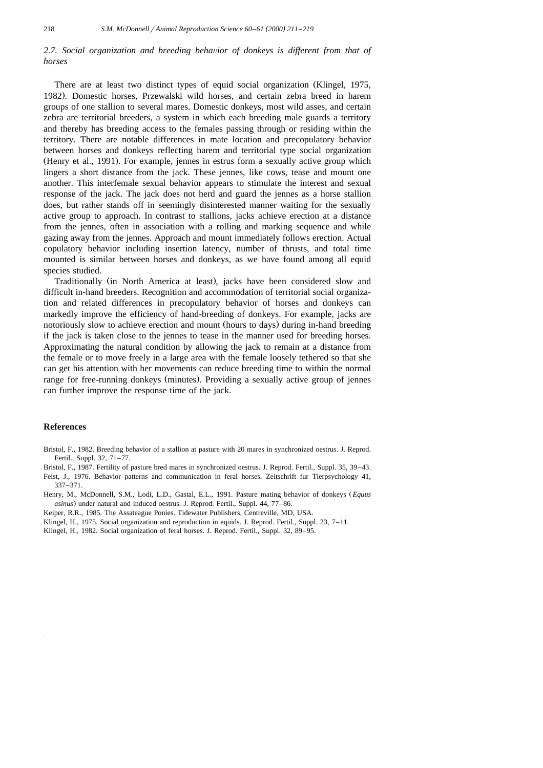# 2.7. Social organization and breeding behavior of donkeys is different from that of *horses*

There are at least two distinct types of equid social organization (Klingel, 1975, 1982). Domestic horses, Przewalski wild horses, and certain zebra breed in harem groups of one stallion to several mares. Domestic donkeys, most wild asses, and certain zebra are territorial breeders, a system in which each breeding male guards a territory and thereby has breeding access to the females passing through or residing within the territory. There are notable differences in mate location and precopulatory behavior between horses and donkeys reflecting harem and territorial type social organization (Henry et al., 1991). For example, jennes in estrus form a sexually active group which lingers a short distance from the jack. These jennes, like cows, tease and mount one another. This interfemale sexual behavior appears to stimulate the interest and sexual response of the jack. The jack does not herd and guard the jennes as a horse stallion does, but rather stands off in seemingly disinterested manner waiting for the sexually active group to approach. In contrast to stallions, jacks achieve erection at a distance from the jennes, often in association with a rolling and marking sequence and while gazing away from the jennes. Approach and mount immediately follows erection. Actual copulatory behavior including insertion latency, number of thrusts, and total time mounted is similar between horses and donkeys, as we have found among all equid species studied.

Traditionally (in North America at least), jacks have been considered slow and difficult in-hand breeders. Recognition and accommodation of territorial social organization and related differences in precopulatory behavior of horses and donkeys can markedly improve the efficiency of hand-breeding of donkeys. For example, jacks are notoriously slow to achieve erection and mount (hours to days) during in-hand breeding if the jack is taken close to the jennes to tease in the manner used for breeding horses. Approximating the natural condition by allowing the jack to remain at a distance from the female or to move freely in a large area with the female loosely tethered so that she can get his attention with her movements can reduce breeding time to within the normal range for free-running donkeys (minutes). Providing a sexually active group of jennes can further improve the response time of the jack.

## **References**

- Bristol, F., 1982. Breeding behavior of a stallion at pasture with 20 mares in synchronized oestrus. J. Reprod. Fertil., Suppl. 32, 71–77.
- Bristol, F., 1987. Fertility of pasture bred mares in synchronized oestrus. J. Reprod. Fertil., Suppl. 35, 39–43.
- Feist, J., 1976. Behavior patterns and communication in feral horses. Zeitschrift fur Tierpsychology 41, 337–371.
- Henry, M., McDonnell, S.M., Lodi, L.D., Gastal, E.L., 1991. Pasture mating behavior of donkeys (Equus *asinus*) under natural and induced oestrus. J. Reprod. Fertil., Suppl. 44, 77–86.
- Keiper, R.R., 1985. The Assateague Ponies. Tidewater Publishers, Centreville, MD, USA.
- Klingel, H., 1975. Social organization and reproduction in equids. J. Reprod. Fertil., Suppl. 23, 7–11.
- Klingel, H., 1982. Social organization of feral horses. J. Reprod. Fertil., Suppl. 32, 89–95.